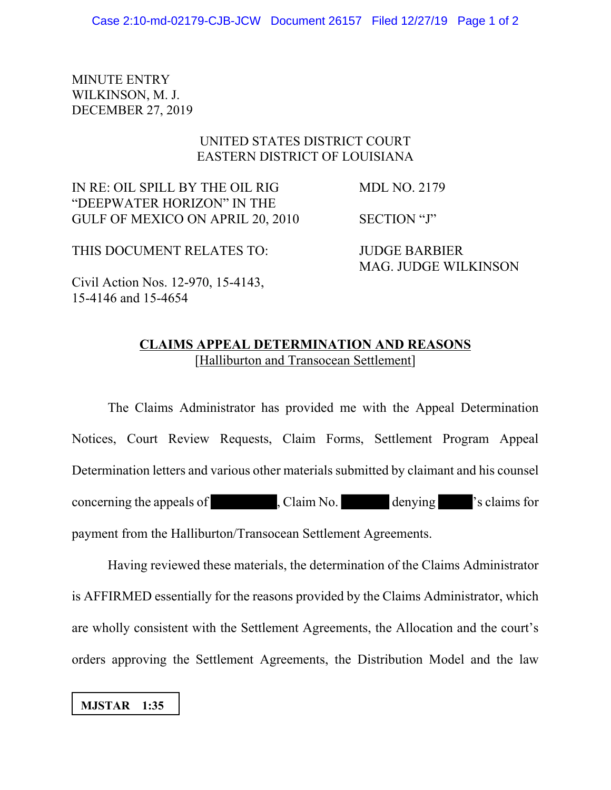MINUTE ENTRY WILKINSON, M. J. DECEMBER 27, 2019

## UNITED STATES DISTRICT COURT EASTERN DISTRICT OF LOUISIANA

IN RE: OIL SPILL BY THE OIL RIG MDL NO. 2179 "DEEPWATER HORIZON" IN THE GULF OF MEXICO ON APRIL 20, 2010 SECTION "J"

MAG. JUDGE WILKINSON

THIS DOCUMENT RELATES TO: JUDGE BARBIER

Civil Action Nos. 12-970, 15-4143, 15-4146 and 15-4654

## **CLAIMS APPEAL DETERMINATION AND REASONS** [Halliburton and Transocean Settlement]

The Claims Administrator has provided me with the Appeal Determination Notices, Court Review Requests, Claim Forms, Settlement Program Appeal Determination letters and various other materials submitted by claimant and his counsel concerning the appeals of , Claim No. denying 's claims for payment from the Halliburton/Transocean Settlement Agreements.

Having reviewed these materials, the determination of the Claims Administrator is AFFIRMED essentially for the reasons provided by the Claims Administrator, which are wholly consistent with the Settlement Agreements, the Allocation and the court's orders approving the Settlement Agreements, the Distribution Model and the law

 **MJSTAR 1:35**